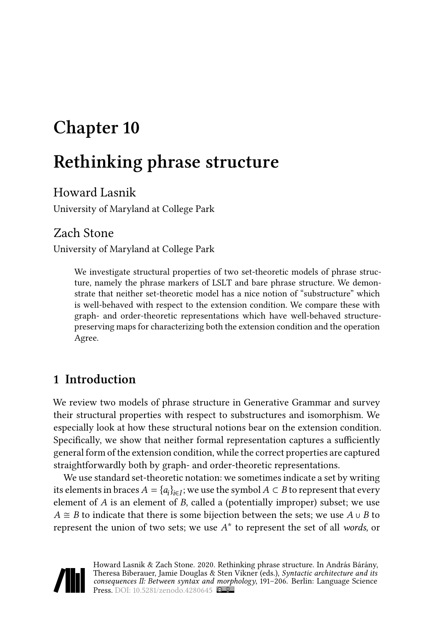# **Chapter 10**

# **Rethinking phrase structure**

## Howard Lasnik

University of Maryland at College Park

## Zach Stone

University of Maryland at College Park

We investigate structural properties of two set-theoretic models of phrase structure, namely the phrase markers of LSLT and bare phrase structure. We demonstrate that neither set-theoretic model has a nice notion of "substructure" which is well-behaved with respect to the extension condition. We compare these with graph- and order-theoretic representations which have well-behaved structurepreserving maps for characterizing both the extension condition and the operation Agree.

# **1 Introduction**

We review two models of phrase structure in Generative Grammar and survey their structural properties with respect to substructures and isomorphism. We especially look at how these structural notions bear on the extension condition. Specifically, we show that neither formal representation captures a sufficiently general form of the extension condition, while the correct properties are captured straightforwardly both by graph- and order-theoretic representations.

We use standard set-theoretic notation: we sometimes indicate a set by writing its elements in braces  $A = \{a_i\}_{i \in I}$ ; we use the symbol  $A \subset B$  to represent that every element of  $A$  is an element of  $B$ , called a (potentially improper) subset; we use  $A \cong B$  to indicate that there is some bijection between the sets; we use  $A \cup B$  to represent the union of two sets; we use  $A^*$  to represent the set of all *words*, or

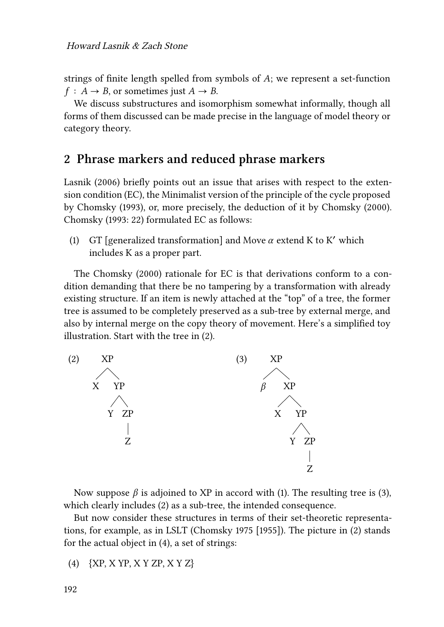strings of finite length spelled from symbols of  $A$ ; we represent a set-function  $f: A \rightarrow B$ , or sometimes just  $A \rightarrow B$ .

We discuss substructures and isomorphism somewhat informally, though all forms of them discussed can be made precise in the language of model theory or category theory.

### **2 Phrase markers and reduced phrase markers**

[Lasnik \(2006\)](#page-15-0) briefly points out an issue that arises with respect to the extension condition (EC), the Minimalist version of the principle of the cycle proposed by [Chomsky \(1993\),](#page-15-1) or, more precisely, the deduction of it by [Chomsky \(2000\)](#page-15-2). [Chomsky \(1993](#page-15-1): 22) formulated EC as follows:

<span id="page-1-1"></span>(1) GT [generalized transformation] and Move  $\alpha$  extend K to K' which includes K as a proper part.

The [Chomsky \(2000\)](#page-15-2) rationale for EC is that derivations conform to a condition demanding that there be no tampering by a transformation with already existing structure. If an item is newly attached at the "top" of a tree, the former tree is assumed to be completely preserved as a sub-tree by external merge, and also by internal merge on the copy theory of movement. Here's a simplified toy illustration. Start with the tree in [\(2\)](#page-1-0).

<span id="page-1-0"></span>

<span id="page-1-2"></span>Nowsuppose  $\beta$  is adjoined to XP in accord with ([1](#page-1-1)). The resulting tree is [\(3](#page-1-2)), which clearly includes([2](#page-1-0)) as a sub-tree, the intended consequence.

But now consider these structures in terms of their set-theoretic representations, for example, as in LSLT [\(Chomsky 1975 \[1955\]\)](#page-15-3). The picture in([2\)](#page-1-0) stands for the actual object in [\(4](#page-1-3)), a set of strings:

<span id="page-1-3"></span>(4) {XP, X YP, X Y ZP, X Y Z}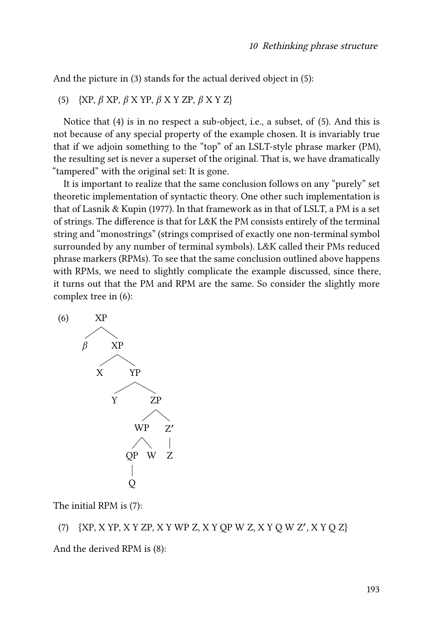And the picture in [\(3](#page-1-2)) stands for the actual derived object in([5\)](#page-2-0):

<span id="page-2-0"></span>(5) {XP,  $\beta$  XP,  $\beta$  X YP,  $\beta$  X Y ZP,  $\beta$  X Y Z}

Notice that([4](#page-1-3)) is in no respect a sub-object, i.e., a subset, of([5\)](#page-2-0). And this is not because of any special property of the example chosen. It is invariably true that if we adjoin something to the "top" of an LSLT-style phrase marker (PM), the resulting set is never a superset of the original. That is, we have dramatically "tampered" with the original set: It is gone.

It is important to realize that the same conclusion follows on any "purely" set theoretic implementation of syntactic theory. One other such implementation is that of [Lasnik & Kupin \(1977\).](#page-15-4) In that framework as in that of LSLT, a PM is a set of strings. The difference is that for L&K the PM consists entirely of the terminal string and "monostrings" (strings comprised of exactly one non-terminal symbol surrounded by any number of terminal symbols). L&K called their PMs reduced phrase markers (RPMs). To see that the same conclusion outlined above happens with RPMs, we need to slightly complicate the example discussed, since there, it turns out that the PM and RPM are the same. So consider the slightly more complex tree in [\(6](#page-2-1)):

<span id="page-2-1"></span>

The initial RPM is([7\)](#page-2-2):

<span id="page-2-2"></span>(7) {XP, X YP, X Y ZP, X Y WP Z, X Y QP W Z, X Y Q W Z', X Y Q Z}

And the derived RPM is([8\)](#page-3-0):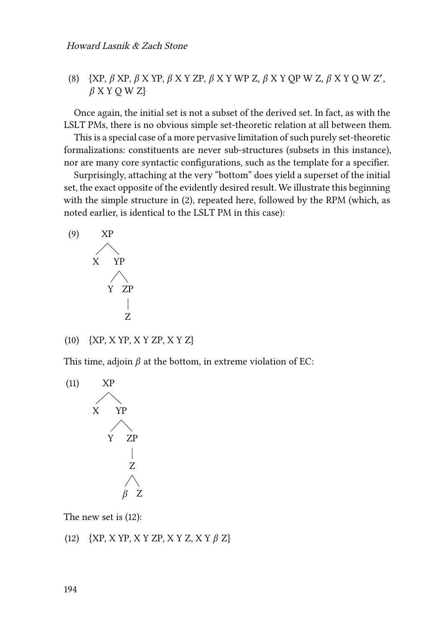<span id="page-3-0"></span>(8)  $\{XP, \beta XP, \beta XYP, \beta X YZP, \beta X Y WP Z, \beta X Y QP W Z, \beta X Y Q W Z',\}$  $\beta$  X Y O W Z}

Once again, the initial set is not a subset of the derived set. In fact, as with the LSLT PMs, there is no obvious simple set-theoretic relation at all between them.

This is a special case of a more pervasive limitation of such purely set-theoretic formalizations: constituents are never sub-structures (subsets in this instance), nor are many core syntactic configurations, such as the template for a specifier.

Surprisingly, attaching at the very "bottom" does yield a superset of the initial set, the exact opposite of the evidently desired result. We illustrate this beginning with the simple structure in([2\)](#page-1-0), repeated here, followed by the RPM (which, as noted earlier, is identical to the LSLT PM in this case):



<span id="page-3-2"></span>(10) {XP, X YP, X Y ZP, X Y Z}

This time, adjoin  $\beta$  at the bottom, in extreme violation of EC:



The new set is [\(12](#page-3-1)):

<span id="page-3-1"></span>(12)  $\{XP, XYP, XY ZP, XY Z, XY \beta Z\}$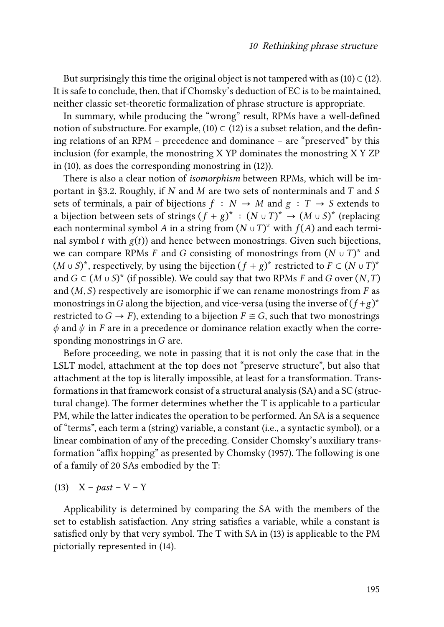Butsurprisingly this time the original object is not tampered with as  $(10) \subset (12)$  $(10) \subset (12)$  $(10) \subset (12)$  $(10) \subset (12)$  $(10) \subset (12)$ . It is safe to conclude, then, that if Chomsky's deduction of EC is to be maintained, neither classic set-theoretic formalization of phrase structure is appropriate.

In summary, while producing the "wrong" result, RPMs have a well-defined notion of substructure. For example,  $(10) \subset (12)$  $(10) \subset (12)$  is a subset relation, and the defining relations of an RPM – precedence and dominance – are "preserved" by this inclusion (for example, the monostring X YP dominates the monostring X Y ZP in([10](#page-3-2)), as does the corresponding monostring in([12\)](#page-3-1)).

There is also a clear notion of *isomorphism* between RPMs, which will be im-portant in §[3.2](#page-10-0). Roughly, if N and M are two sets of nonterminals and T and S sets of terminals, a pair of bijections  $f : N \to M$  and  $g : T \to S$  extends to a bijection between sets of strings  $(f + g)^* : (N \cup T)^* \to (M \cup S)^*$  (replacing each nonterminal symbol A in a string from  $(N \cup T)^*$  with  $f(A)$  and each terminal symbol  $t$  with  $g(t)$ ) and hence between monostrings. Given such bijections, we can compare RPMs F and G consisting of monostrings from  $(N \cup T)^*$  and  $(M ∪ S)^*$ , respectively, by using the bijection  $(f + g)^*$  restricted to  $F ⊂ (N ∪ T)^*$ and  $G \subset (M \cup S)^*$  (if possible). We could say that two RPMs F and G over  $(N, T)$ and  $(M, S)$  respectively are isomorphic if we can rename monostrings from  $F$  as monostrings in G along the bijection, and vice-versa (using the inverse of  $(f+g)^*$ restricted to  $G \to F$ ), extending to a bijection  $F \cong G$ , such that two monostrings  $\phi$  and  $\psi$  in F are in a precedence or dominance relation exactly when the corresponding monostrings in  $G$  are.

Before proceeding, we note in passing that it is not only the case that in the LSLT model, attachment at the top does not "preserve structure", but also that attachment at the top is literally impossible, at least for a transformation. Transformations in that framework consist of a structural analysis (SA) and a SC (structural change). The former determines whether the T is applicable to a particular PM, while the latter indicates the operation to be performed. An SA is a sequence of "terms", each term a (string) variable, a constant (i.e., a syntactic symbol), or a linear combination of any of the preceding. Consider Chomsky's auxiliary transformation "affix hopping" as presented by [Chomsky \(1957\).](#page-15-5) The following is one of a family of 20 SAs embodied by the T:

<span id="page-4-1"></span>Applicability is determined by comparing the SA with the members of the set to establish satisfaction. Any string satisfies a variable, while a constant is satisfied only by that very symbol. The T with SA in([13\)](#page-4-0) is applicable to the PM pictorially represented in [\(14\)](#page-4-1).

<span id="page-4-0"></span><sup>(13)</sup> X – *past* – V – Y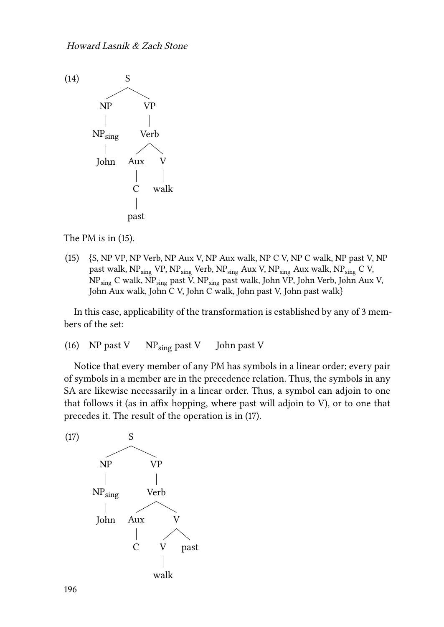

The PM is in([15\)](#page-5-0).

<span id="page-5-0"></span>(15) {S, NP VP, NP Verb, NP Aux V, NP Aux walk, NP C V, NP C walk, NP past V, NP past walk,  $NP_{sing}$  VP,  $NP_{sing}$  Verb,  $NP_{sing}$  Aux V,  $NP_{sing}$  Aux walk,  $NP_{sing}$  C V, NPsing C walk, NPsing past V, NPsing past walk, John VP, John Verb, John Aux V, John Aux walk, John C V, John C walk, John past V, John past walk}

In this case, applicability of the transformation is established by any of 3 members of the set:

(16) NP past V  $N_{\text{Sing}}$  past V John past V

Notice that every member of any PM has symbols in a linear order; every pair of symbols in a member are in the precedence relation. Thus, the symbols in any SA are likewise necessarily in a linear order. Thus, a symbol can adjoin to one that follows it (as in affix hopping, where past will adjoin to V), or to one that precedes it. The result of the operation is in([17](#page-5-1)).

<span id="page-5-1"></span>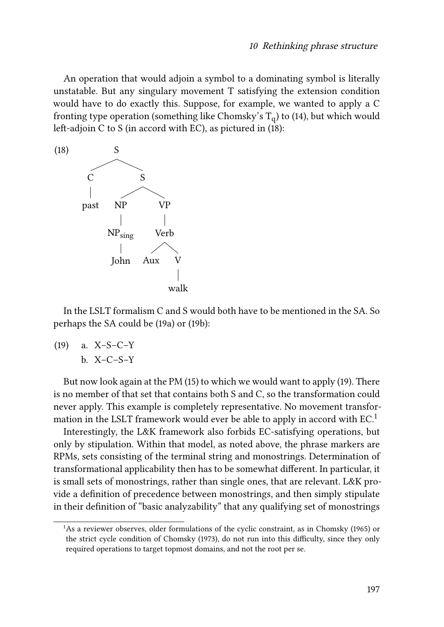An operation that would adjoin a symbol to a dominating symbol is literally unstatable. But any singulary movement T satisfying the extension condition would have to do exactly this. Suppose, for example, we wanted to apply a C fronting type operation (something like Chomsky's  $\mathrm{T_{q}})$  to [\(14](#page-4-1)), but which would left-adjoin C to S (in accord with EC), as pictured in [\(18](#page-6-0)):

<span id="page-6-0"></span>

In the LSLT formalism C and S would both have to be mentioned in the SA. So perhaps the SA could be [\(19](#page-6-1)a) or([19b](#page-6-1)):

<span id="page-6-1"></span>
$$
\begin{array}{lll}\n\text{(19)} & \text{a. X--S--C--Y} \\
& \text{b. X--C--S--Y}\n\end{array}
$$

But now look again at the PM([15\)](#page-5-0) to which we would want to apply [\(19\)](#page-6-1). There is no member of that set that contains both S and C, so the transformation could never apply. This example is completely representative. No movement transformation in the LSLT framework would ever be able to apply in accord with  $EC<sup>1</sup>$ 

Interestingly, the L&K framework also forbids EC-satisfying operations, but only by stipulation. Within that model, as noted above, the phrase markers are RPMs, sets consisting of the terminal string and monostrings. Determination of transformational applicability then has to be somewhat different. In particular, it is small sets of monostrings, rather than single ones, that are relevant. L&K provide a definition of precedence between monostrings, and then simply stipulate in their definition of "basic analyzability" that any qualifying set of monostrings

<sup>&</sup>lt;sup>1</sup>As a reviewer observes, older formulations of the cyclic constraint, as in [Chomsky \(1965\)](#page-15-6) or the strict cycle condition of [Chomsky \(1973\)](#page-15-7), do not run into this difficulty, since they only required operations to target topmost domains, and not the root per se.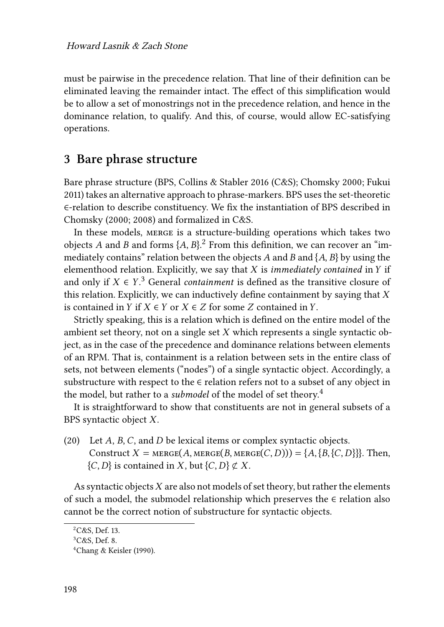must be pairwise in the precedence relation. That line of their definition can be eliminated leaving the remainder intact. The effect of this simplification would be to allow a set of monostrings not in the precedence relation, and hence in the dominance relation, to qualify. And this, of course, would allow EC-satisfying operations.

### **3 Bare phrase structure**

Bare phrase structure (BPS, [Collins & Stabler 2016](#page-15-8) (C&S); [Chomsky 2000](#page-15-2); [Fukui](#page-15-9) [2011\)](#page-15-9) takes an alternative approach to phrase-markers. BPS uses the set-theoretic ∈-relation to describe constituency. We fix the instantiation of BPS described in [Chomsky \(2000](#page-15-2); [2008\)](#page-15-10) and formalized in C&S.

In these models, merge is a structure-building operations which takes two objects A and B and forms  $\{A, B\}$ .<sup>2</sup> From this definition, we can recover an "immediately contains" relation between the objects A and B and  $\{A, B\}$  by using the elementhood relation. Explicitly, we say that  $X$  is *immediately contained* in  $Y$  if and only if  $X \in Y$ .<sup>3</sup> General *containment* is defined as the transitive closure of this relation. Explicitly, we can inductively define containment by saying that  $X$ is contained in  $Y$  if  $X \in Y$  or  $X \in Z$  for some  $Z$  contained in  $Y$ .

Strictly speaking, this is a relation which is defined on the entire model of the ambient set theory, not on a single set  $X$  which represents a single syntactic object, as in the case of the precedence and dominance relations between elements of an RPM. That is, containment is a relation between sets in the entire class of sets, not between elements ("nodes") of a single syntactic object. Accordingly, a substructure with respect to the  $\epsilon$  relation refers not to a subset of any object in the model, but rather to a *submodel* of the model of set theory.<sup>4</sup>

It is straightforward to show that constituents are not in general subsets of a BPS syntactic object  $X$ .

(20) Let  $A$ ,  $B$ ,  $C$ , and  $D$  be lexical items or complex syntactic objects. Construct  $X = \text{MERGE}(A, \text{MERGE}(B, \text{MERGE}(C, D))) = \{A, \{B, \{C, D\}\}\}\$ . Then,  $\{C, D\}$  is contained in X, but  $\{C, D\} \not\subset X$ .

As syntactic objects  $X$  are also not models of set theory, but rather the elements of such a model, the submodel relationship which preserves the  $\epsilon$  relation also cannot be the correct notion of substructure for syntactic objects.

<sup>2</sup>C&S, Def. 13.

 ${}^{3}C\&S$ , Def. 8.

<sup>4</sup>[Chang & Keisler \(1990\).](#page-15-11)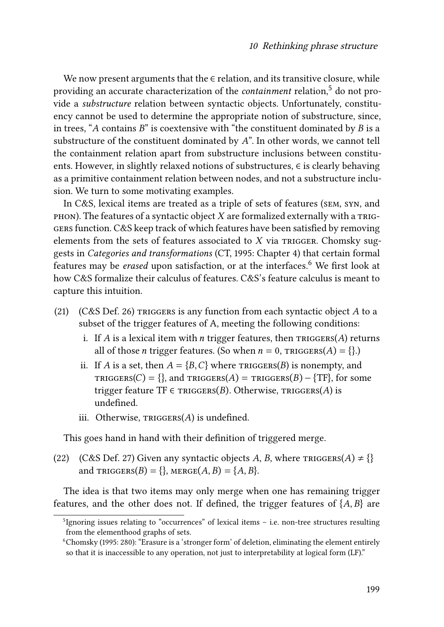We now present arguments that the ∈ relation, and its transitive closure, while providing an accurate characterization of the *containment* relation,<sup>5</sup> do not provide a *substructure* relation between syntactic objects. Unfortunately, constituency cannot be used to determine the appropriate notion of substructure, since, in trees, "A contains  $B$ " is coextensive with "the constituent dominated by  $B$  is a substructure of the constituent dominated by  $A$ ". In other words, we cannot tell the containment relation apart from substructure inclusions between constituents. However, in slightly relaxed notions of substructures, ∈ is clearly behaving as a primitive containment relation between nodes, and not a substructure inclusion. We turn to some motivating examples.

In C&S, lexical items are treated as a triple of sets of features (sem, syn, and  $P$ HON). The features of a syntactic object  $X$  are formalized externally with a TRIGgers function. C&S keep track of which features have been satisfied by removing elements from the sets of features associated to  $X$  via TRIGGER. Chomsky suggests in *Categories and transformations* (CT, [1995:](#page-15-12) Chapter 4) that certain formal features may be *erased* upon satisfaction, or at the interfaces.<sup>6</sup> We first look at how C&S formalize their calculus of features. C&S's feature calculus is meant to capture this intuition.

- (21)  $(C&S$  Def. 26) TRIGGERS is any function from each syntactic object A to a subset of the trigger features of A, meeting the following conditions:
	- i. If  $A$  is a lexical item with  $n$  trigger features, then  $TRIGGERS(A)$  returns all of those *n* trigger features. (So when  $n = 0$ ,  $TRIGGERS(A) = \{\}$ .)
	- ii. If A is a set, then  $A = \{B, C\}$  where  $TRIGGERS(B)$  is nonempty, and TRIGGERS(C) = {}, and TRIGGERS(A) = TRIGGERS(B) – {TF}, for some trigger feature TF  $\in$  TRIGGERS(B). Otherwise, TRIGGERS(A) is undefined.
	- iii. Otherwise,  $TRIGGERS(A)$  is undefined.

This goes hand in hand with their definition of triggered merge.

(22) (C&S Def. 27) Given any syntactic objects A, B, where  $TRIGGERS(A) \neq \{\}$ and  $TRIGGERS(B) = \{ \}$ ,  $MERGE(A, B) = \{ A, B \}$ .

The idea is that two items may only merge when one has remaining trigger features, and the other does not. If defined, the trigger features of  $\{A, B\}$  are

<sup>&</sup>lt;sup>5</sup>Ignoring issues relating to "occurrences" of lexical items - i.e. non-tree structures resulting from the elementhood graphs of sets.

<sup>6</sup>[Chomsky \(1995:](#page-15-12) 280): "Erasure is a 'stronger form' of deletion, eliminating the element entirely so that it is inaccessible to any operation, not just to interpretability at logical form (LF)."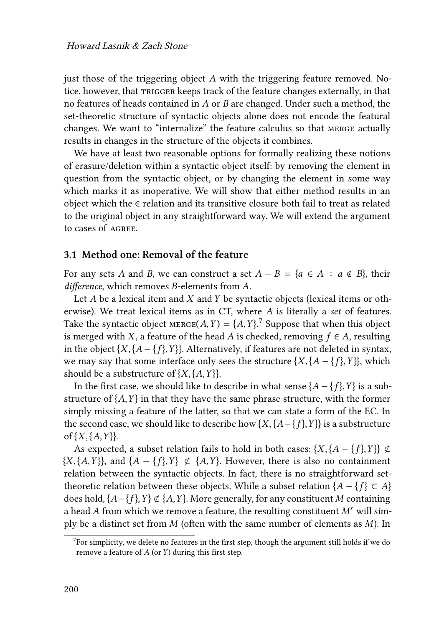just those of the triggering object  $A$  with the triggering feature removed. Notice, however, that TRIGGER keeps track of the feature changes externally, in that no features of heads contained in  $A$  or  $B$  are changed. Under such a method, the set-theoretic structure of syntactic objects alone does not encode the featural changes. We want to "internalize" the feature calculus so that merge actually results in changes in the structure of the objects it combines.

We have at least two reasonable options for formally realizing these notions of erasure/deletion within a syntactic object itself: by removing the element in question from the syntactic object, or by changing the element in some way which marks it as inoperative. We will show that either method results in an object which the  $\epsilon$  relation and its transitive closure both fail to treat as related to the original object in any straightforward way. We will extend the argument to cases of agree.

#### **3.1 Method one: Removal of the feature**

For any sets A and B, we can construct a set  $A - B = \{a \in A : a \notin B\}$ , their *difference*, which removes *B*-elements from *A*.

Let  $A$  be a lexical item and  $X$  and  $Y$  be syntactic objects (lexical items or otherwise). We treat lexical items as in CT, where A is literally a *set* of features. Take the syntactic object  $MERGE(A, Y) = \{A, Y\}$ .<sup>7</sup> Suppose that when this object is merged with X, a feature of the head A is checked, removing  $f \in A$ , resulting in the object  $\{X, \{A - \{f\}, Y\}\}\$ . Alternatively, if features are not deleted in syntax, we may say that some interface only sees the structure  $\{X, \{A - \{f\}, Y\}\}\$ , which should be a substructure of  $\{X, \{A, Y\}\}\$ .

In the first case, we should like to describe in what sense  ${A - f}$ ,  ${Y}$  is a substructure of  ${A, Y}$  in that they have the same phrase structure, with the former simply missing a feature of the latter, so that we can state a form of the EC. In the second case, we should like to describe how  $\{X, \{A-\{f\}, Y\}\}\$ is a substructure of  $\{X, \{A, Y\}\}\$ .

As expected, a subset relation fails to hold in both cases:  $\{X, \{A - \{f\}, Y\}\}\not\subset$  $\{X, \{A, Y\}\}\$ , and  $\{A - \{f\}, Y\} \not\subset \{A, Y\}\$ . However, there is also no containment relation between the syntactic objects. In fact, there is no straightforward settheoretic relation between these objects. While a subset relation { $A - \{f\} \subset A$ } does hold,  $\{A - \{f\}, Y\} \not\subset \{A, Y\}$ . More generally, for any constituent M containing a head A from which we remove a feature, the resulting constituent  $M'$  will simply be a distinct set from  $M$  (often with the same number of elements as  $M$ ). In

 $7$ For simplicity, we delete no features in the first step, though the argument still holds if we do remove a feature of  $A$  (or  $Y$ ) during this first step.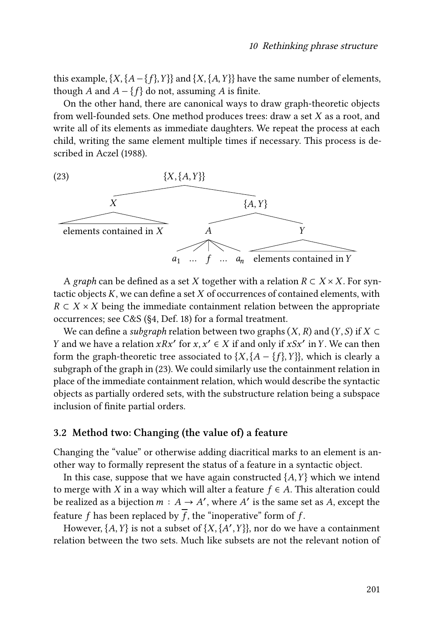this example,  $\{X, \{A - \{f\}, Y\}\}\$  and  $\{X, \{A, Y\}\}\$  have the same number of elements, though A and  $A - \{f\}$  do not, assuming A is finite.

On the other hand, there are canonical ways to draw graph-theoretic objects from well-founded sets. One method produces trees: draw a set  $X$  as a root, and write all of its elements as immediate daughters. We repeat the process at each child, writing the same element multiple times if necessary. This process is described in [Aczel \(1988\)](#page-15-13).

<span id="page-10-1"></span>

A *graph* can be defined as a set X together with a relation  $R \subset X \times X$ . For syntactic objects  $K$ , we can define a set  $X$  of occurrences of contained elements, with  $R \subset X \times X$  being the immediate containment relation between the appropriate occurrences; see C&S (§4, Def. 18) for a formal treatment.

We can define a *subgraph* relation between two graphs  $(X, R)$  and  $(Y, S)$  if  $X \subset$ *Y* and we have a relation  $xRx'$  for  $x, x' \in X$  if and only if  $xSx'$  in *Y*. We can then form the graph-theoretic tree associated to  $\{X, \{A - \{f\}, Y\}\}\$ , which is clearly a subgraph of the graph in([23](#page-10-1)). We could similarly use the containment relation in place of the immediate containment relation, which would describe the syntactic objects as partially ordered sets, with the substructure relation being a subspace inclusion of finite partial orders.

### <span id="page-10-0"></span>**3.2 Method two: Changing (the value of) a feature**

Changing the "value" or otherwise adding diacritical marks to an element is another way to formally represent the status of a feature in a syntactic object.

In this case, suppose that we have again constructed  $\{A, Y\}$  which we intend to merge with X in a way which will alter a feature  $f \in A$ . This alteration could be realized as a bijection  $m : A \to A'$ , where  $A'$  is the same set as A, except the feature f has been replaced by  $\overline{f}$ , the "inoperative" form of f.

However,  ${A, Y}$  is not a subset of  ${X, {A', Y}}$ , nor do we have a containment relation between the two sets. Much like subsets are not the relevant notion of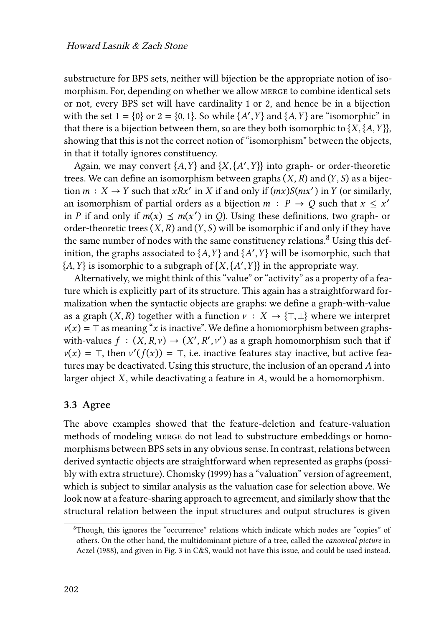substructure for BPS sets, neither will bijection be the appropriate notion of isomorphism. For, depending on whether we allow merge to combine identical sets or not, every BPS set will have cardinality 1 or 2, and hence be in a bijection with the set  $1 = \{0\}$  or  $2 = \{0, 1\}$ . So while  $\{A', Y\}$  and  $\{A, Y\}$  are "isomorphic" in that there is a bijection between them, so are they both isomorphic to  ${X, {A, Y}}$ , showing that this is not the correct notion of "isomorphism" between the objects, in that it totally ignores constituency.

Again, we may convert  ${A, Y}$  and  ${X, {A', Y}}$  into graph- or order-theoretic trees. We can define an isomorphism between graphs  $(X, R)$  and  $(Y, S)$  as a bijection  $m: X \to Y$  such that  $xRx'$  in X if and only if  $(mx)S(mx')$  in Y (or similarly, an isomorphism of partial orders as a bijection  $m : P \to Q$  such that  $x \leq x'$ in *P* if and only if  $m(x) \le m(x')$  in *Q*). Using these definitions, two graph- or order-theoretic trees  $(X, R)$  and  $(Y, S)$  will be isomorphic if and only if they have the same number of nodes with the same constituency relations.<sup>8</sup> Using this definition, the graphs associated to  ${A, Y}$  and  ${A', Y}$  will be isomorphic, such that  ${A, Y}$  is isomorphic to a subgraph of  ${X, {A', Y}}$  in the appropriate way.

Alternatively, we might think of this "value" or "activity" as a property of a feature which is explicitly part of its structure. This again has a straightforward formalization when the syntactic objects are graphs: we define a graph-with-value as a graph  $(X, R)$  together with a function  $v : X \to \{\top, \bot\}$  where we interpret  $\nu(x) = \top$  as meaning "x is inactive". We define a homomorphism between graphswith-values  $f : (X, R, v) \to (X', R', v')$  as a graph homomorphism such that if  $\nu(x) = \top$ , then  $\nu'(f(x)) = \top$ , i.e. inactive features stay inactive, but active features may be deactivated. Using this structure, the inclusion of an operand  $A$  into larger object  $X$ , while deactivating a feature in  $A$ , would be a homomorphism.

#### **3.3 Agree**

The above examples showed that the feature-deletion and feature-valuation methods of modeling merge do not lead to substructure embeddings or homomorphisms between BPS sets in any obvious sense. In contrast, relations between derived syntactic objects are straightforward when represented as graphs (possibly with extra structure). [Chomsky \(1999\)](#page-15-14) has a "valuation" version of agreement, which is subject to similar analysis as the valuation case for selection above. We look now at a feature-sharing approach to agreement, and similarly show that the structural relation between the input structures and output structures is given

<sup>8</sup>Though, this ignores the "occurrence" relations which indicate which nodes are "copies" of others. On the other hand, the multidominant picture of a tree, called the *canonical picture* in [Aczel \(1988\),](#page-15-13) and given in Fig. 3 in C&S, would not have this issue, and could be used instead.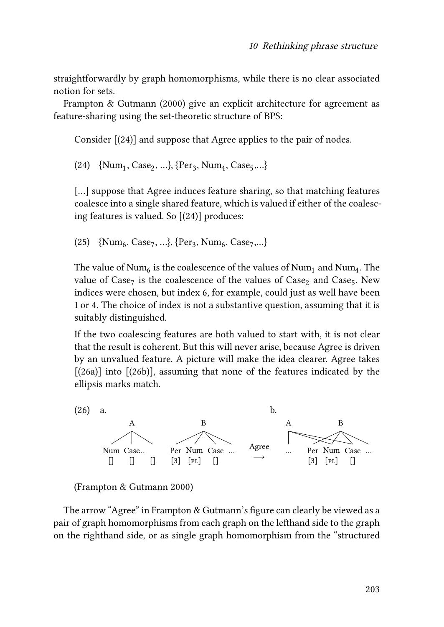straightforwardly by graph homomorphisms, while there is no clear associated notion for sets.

[Frampton & Gutmann \(2000\)](#page-15-15) give an explicit architecture for agreement as feature-sharing using the set-theoretic structure of BPS:

Consider [([24](#page-12-0))] and suppose that Agree applies to the pair of nodes.

<span id="page-12-0"></span>(24)  $\{Num_1, Case_2, ...\}$ ,  $\{Per_3, Num_4, Case_5,...\}$ 

[...] suppose that Agree induces feature sharing, so that matching features coalesce into a single shared feature, which is valued if either of the coalescing features is valued. So [[\(24\)](#page-12-0)] produces:

(25)  $\{Num_6, Case_7, ...\}$ ,  $\{Per_3, Num_6, Case_7, ...\}$ 

The value of  $\mathrm{Num}_6$  is the coalescence of the values of  $\mathrm{Num}_1$  and  $\mathrm{Num}_4$ . The value of  $\text{Case}_7$  is the coalescence of the values of  $\text{Case}_2$  and  $\text{Case}_5$ . New indices were chosen, but index 6, for example, could just as well have been 1 or 4. The choice of index is not a substantive question, assuming that it is suitably distinguished.

If the two coalescing features are both valued to start with, it is not clear that the result is coherent. But this will never arise, because Agree is driven by an unvalued feature. A picture will make the idea clearer. Agree takes  $[(26a)]$  $[(26a)]$  $[(26a)]$  into  $[(26b)]$  $[(26b)]$  $[(26b)]$ , assuming that none of the features indicated by the ellipsis marks match.

<span id="page-12-1"></span>



The arrow "Agree" in Frampton & Gutmann's figure can clearly be viewed as a pair of graph homomorphisms from each graph on the lefthand side to the graph on the righthand side, or as single graph homomorphism from the "structured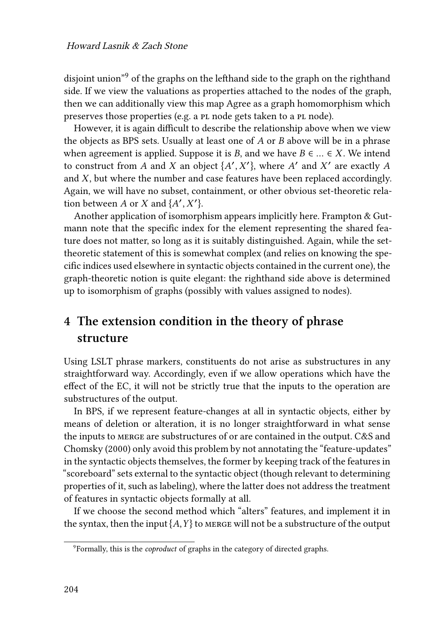disjoint union"<sup>9</sup> of the graphs on the lefthand side to the graph on the righthand side. If we view the valuations as properties attached to the nodes of the graph, then we can additionally view this map Agree as a graph homomorphism which preserves those properties (e.g. a PL node gets taken to a PL node).

However, it is again difficult to describe the relationship above when we view the objects as BPS sets. Usually at least one of  $A$  or  $B$  above will be in a phrase when agreement is applied. Suppose it is B, and we have  $B \in \dots \in X$ . We intend to construct from A and X an object  $\{A', X'\}$ , where A' and X' are exactly A and  $X$ , but where the number and case features have been replaced accordingly. Again, we will have no subset, containment, or other obvious set-theoretic relation between A or X and  $\{A', X'\}$ .

Another application of isomorphism appears implicitly here. [Frampton & Gut](#page-15-15)[mann](#page-15-15) note that the specific index for the element representing the shared feature does not matter, so long as it is suitably distinguished. Again, while the settheoretic statement of this is somewhat complex (and relies on knowing the specific indices used elsewhere in syntactic objects contained in the current one), the graph-theoretic notion is quite elegant: the righthand side above is determined up to isomorphism of graphs (possibly with values assigned to nodes).

# **4 The extension condition in the theory of phrase structure**

Using LSLT phrase markers, constituents do not arise as substructures in any straightforward way. Accordingly, even if we allow operations which have the effect of the EC, it will not be strictly true that the inputs to the operation are substructures of the output.

In BPS, if we represent feature-changes at all in syntactic objects, either by means of deletion or alteration, it is no longer straightforward in what sense the inputs to merge are substructures of or are contained in the output. C&S and [Chomsky \(2000\)](#page-15-2) only avoid this problem by not annotating the "feature-updates" in the syntactic objects themselves, the former by keeping track of the features in "scoreboard" sets external to the syntactic object (though relevant to determining properties of it, such as labeling), where the latter does not address the treatment of features in syntactic objects formally at all.

If we choose the second method which "alters" features, and implement it in the syntax, then the input  $\{A, Y\}$  to merge will not be a substructure of the output

<sup>9</sup> Formally, this is the *coproduct* of graphs in the category of directed graphs.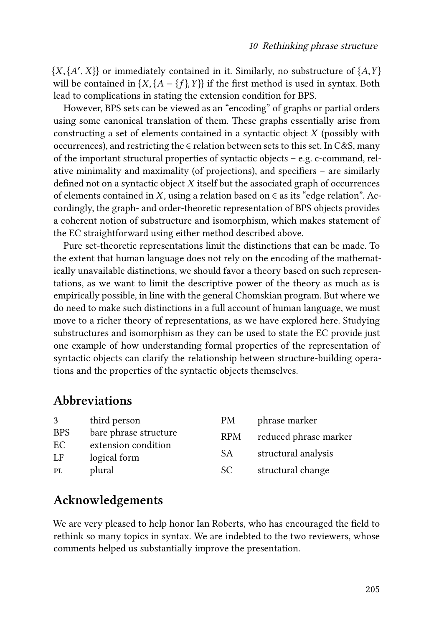${X, {A', X}}$  or immediately contained in it. Similarly, no substructure of  ${A, Y}$ will be contained in  $\{X, \{A - \{f\}, Y\}\}\$ if the first method is used in syntax. Both lead to complications in stating the extension condition for BPS.

However, BPS sets can be viewed as an "encoding" of graphs or partial orders using some canonical translation of them. These graphs essentially arise from constructing a set of elements contained in a syntactic object  $X$  (possibly with occurrences), and restricting the  $\epsilon$  relation between sets to this set. In C&S, many of the important structural properties of syntactic objects – e.g. c-command, relative minimality and maximality (of projections), and specifiers – are similarly defined not on a syntactic object  $X$  itself but the associated graph of occurrences of elements contained in X, using a relation based on  $\epsilon$  as its "edge relation". Accordingly, the graph- and order-theoretic representation of BPS objects provides a coherent notion of substructure and isomorphism, which makes statement of the EC straightforward using either method described above.

Pure set-theoretic representations limit the distinctions that can be made. To the extent that human language does not rely on the encoding of the mathematically unavailable distinctions, we should favor a theory based on such representations, as we want to limit the descriptive power of the theory as much as is empirically possible, in line with the general Chomskian program. But where we do need to make such distinctions in a full account of human language, we must move to a richer theory of representations, as we have explored here. Studying substructures and isomorphism as they can be used to state the EC provide just one example of how understanding formal properties of the representation of syntactic objects can clarify the relationship between structure-building operations and the properties of the syntactic objects themselves.

### **Abbreviations**

| 3          | third person          | PM         | phrase marker         |
|------------|-----------------------|------------|-----------------------|
| <b>BPS</b> | bare phrase structure | <b>RPM</b> | reduced phrase marker |
| EC.        | extension condition   |            |                       |
| LF         | logical form          | SA.        | structural analysis   |
| PL         | plural                | SC.        | structural change     |
|            |                       |            |                       |

### **Acknowledgements**

We are very pleased to help honor Ian Roberts, who has encouraged the field to rethink so many topics in syntax. We are indebted to the two reviewers, whose comments helped us substantially improve the presentation.